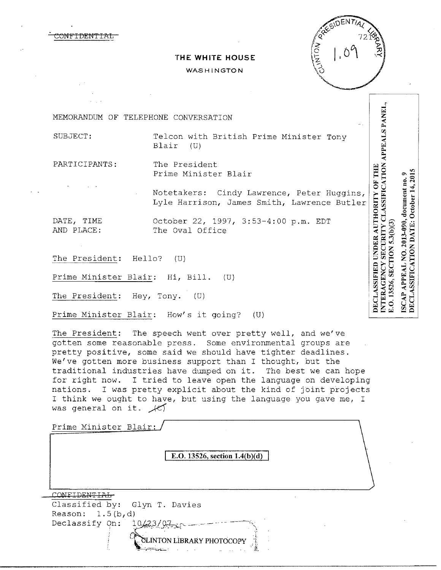



## **THE WHITE HOUSE**

## **WASHINGTON**

MEMORANDUM OF TELEPHONE CONVERSATION

SUBJECT: Telcon with British Prime Minister Tony Blair (U)

PARTICIPANTS: The President Prime Minister Blair

DECLASSIFIED UNDER AUTHORITY OF THE Notetakers: Cindy Lawrence, Peter Huggins, Lyle Harrison, James Smith, Lawrence Butler

DATE, TIME October 22, 1997, 3:53-4:00 p.m. EDT The Oval Office

The President: Hello? (U)

Prime Minister Blair: Hi, Bill. (U)

The President: Hey, Tony. (U)

Prime Minister Blair: How's it going? (U)

The President: The speech went over pretty well, and we've gotten some reasonable press. Some environmental groups are pretty positive, some said we should have tighter deadlines. We've gotten more business support than I thought, but the traditional industries have dumped on it. The best we can hope for right now. I tried to leave open the language on developing nations. I was pretty explicit about the kind of joint projects I think we ought to have, but using the language you gave me, I was general on it.  $\angle$ 

Prime Minister Blair:

**E.O. 13526, section 1.4(b)(d)** 

CONFIDENTIAL Classified by: Glyn T. Davies Reason:  $1.5(b,d)$ Declassify On:  $10/23/0.7$ ~~N**UBRARY** PHO~OCOPY 1 NTERAGENCY SECURITY CLASSIFICATION APPEALS PANEI DECLASSIFICATION DATE: October 14, 2015 ISCAP APPEAL NO. 2013-090, document no. 9 E.O. 13526, SECTION 5.3(b)(3)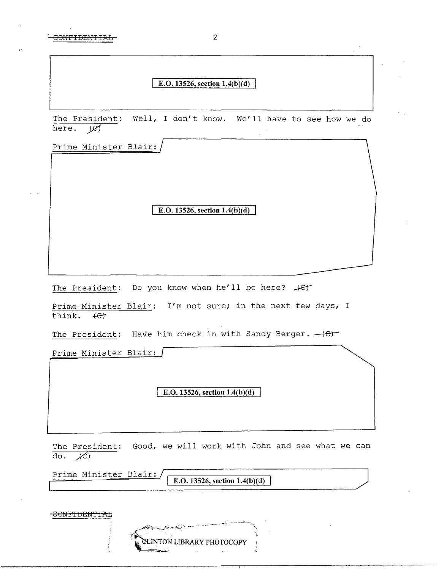## E.O. 13526, section 1.4(b)(d)

The President: Well, I don't know. We'll have to see how we do here.  $\cancel{\varnothing}$ 

Prime Minister Blair:

E.O. **13526, section 1.4(b)(d)** 

The President: Do you know when he'll be here?  $#E^+$ 

Prime Minister Blair: I'm not sure; in the next few days, I think.  $\leftarrow$ 

The President: Have him check in with Sandy Berger.  $-\left(\epsilon\right)$ 

Prime Minister Blair:

E.O. 13526, section 1.4(b)(d)

The President: Good, we will work with John and see what we can  $\overline{\text{do. }\mathcal{K}}$ 

Prime Minister Blair: **E.O.** 13526, section  $1.4(b)(d)$ 

| - الكتيمي<br><b>CLINTON LIBRARY PHOTOCOPY</b> |
|-----------------------------------------------|